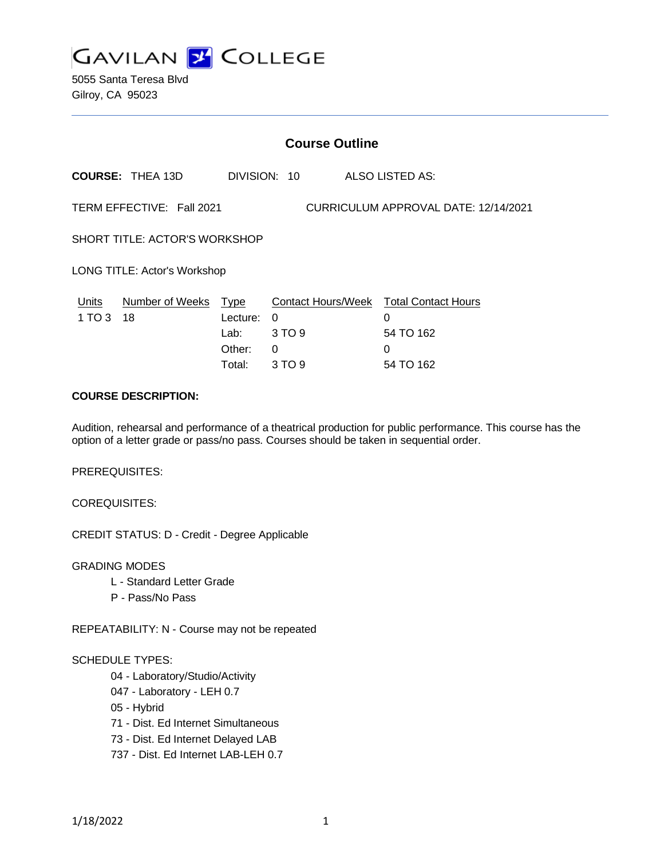

5055 Santa Teresa Blvd Gilroy, CA 95023

|                                                                   | <b>Course Outline</b>   |                                                     |                                   |                                                                            |  |
|-------------------------------------------------------------------|-------------------------|-----------------------------------------------------|-----------------------------------|----------------------------------------------------------------------------|--|
|                                                                   | <b>COURSE: THEA 13D</b> |                                                     | DIVISION: 10                      | ALSO LISTED AS:                                                            |  |
| TERM EFFECTIVE: Fall 2021<br>CURRICULUM APPROVAL DATE: 12/14/2021 |                         |                                                     |                                   |                                                                            |  |
| SHORT TITLE: ACTOR'S WORKSHOP                                     |                         |                                                     |                                   |                                                                            |  |
| LONG TITLE: Actor's Workshop                                      |                         |                                                     |                                   |                                                                            |  |
| Units<br>1 TO 3                                                   | Number of Weeks<br>18   | <u>Type</u><br>Lecture:<br>Lab:<br>Other:<br>Total: | $\Omega$<br>3 TO 9<br>0<br>3 TO 9 | Contact Hours/Week Total Contact Hours<br>0<br>54 TO 162<br>0<br>54 TO 162 |  |

## **COURSE DESCRIPTION:**

Audition, rehearsal and performance of a theatrical production for public performance. This course has the option of a letter grade or pass/no pass. Courses should be taken in sequential order.

PREREQUISITES:

COREQUISITES:

CREDIT STATUS: D - Credit - Degree Applicable

GRADING MODES

- L Standard Letter Grade
- P Pass/No Pass

REPEATABILITY: N - Course may not be repeated

#### SCHEDULE TYPES:

- 04 Laboratory/Studio/Activity
- 047 Laboratory LEH 0.7
- 05 Hybrid
- 71 Dist. Ed Internet Simultaneous
- 73 Dist. Ed Internet Delayed LAB
- 737 Dist. Ed Internet LAB-LEH 0.7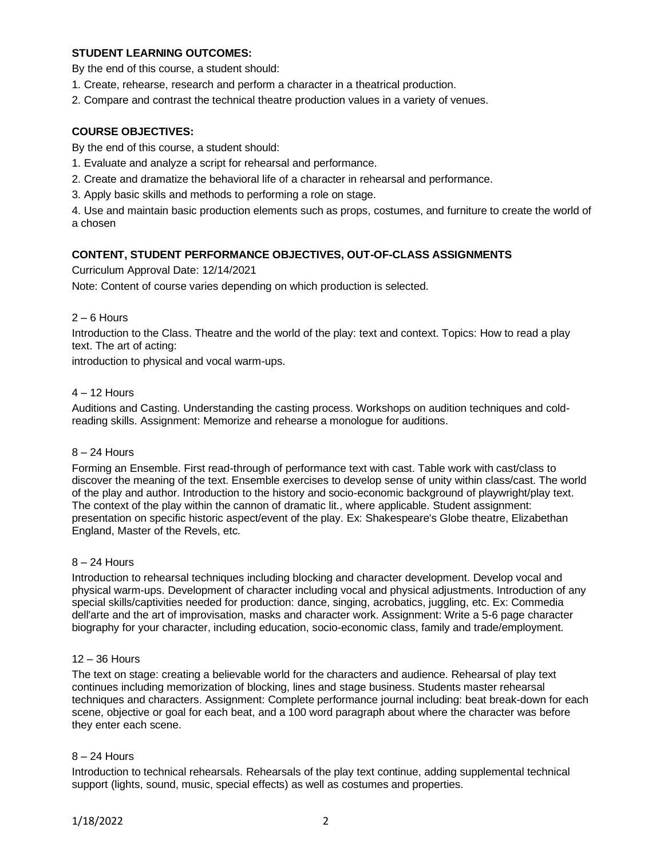## **STUDENT LEARNING OUTCOMES:**

By the end of this course, a student should:

- 1. Create, rehearse, research and perform a character in a theatrical production.
- 2. Compare and contrast the technical theatre production values in a variety of venues.

### **COURSE OBJECTIVES:**

By the end of this course, a student should:

- 1. Evaluate and analyze a script for rehearsal and performance.
- 2. Create and dramatize the behavioral life of a character in rehearsal and performance.
- 3. Apply basic skills and methods to performing a role on stage.

4. Use and maintain basic production elements such as props, costumes, and furniture to create the world of a chosen

#### **CONTENT, STUDENT PERFORMANCE OBJECTIVES, OUT-OF-CLASS ASSIGNMENTS**

Curriculum Approval Date: 12/14/2021

Note: Content of course varies depending on which production is selected.

#### 2 – 6 Hours

Introduction to the Class. Theatre and the world of the play: text and context. Topics: How to read a play text. The art of acting:

introduction to physical and vocal warm-ups.

### 4 – 12 Hours

Auditions and Casting. Understanding the casting process. Workshops on audition techniques and coldreading skills. Assignment: Memorize and rehearse a monologue for auditions.

#### 8 – 24 Hours

Forming an Ensemble. First read-through of performance text with cast. Table work with cast/class to discover the meaning of the text. Ensemble exercises to develop sense of unity within class/cast. The world of the play and author. Introduction to the history and socio-economic background of playwright/play text. The context of the play within the cannon of dramatic lit., where applicable. Student assignment: presentation on specific historic aspect/event of the play. Ex: Shakespeare's Globe theatre, Elizabethan England, Master of the Revels, etc.

#### 8 – 24 Hours

Introduction to rehearsal techniques including blocking and character development. Develop vocal and physical warm-ups. Development of character including vocal and physical adjustments. Introduction of any special skills/captivities needed for production: dance, singing, acrobatics, juggling, etc. Ex: Commedia dell'arte and the art of improvisation, masks and character work. Assignment: Write a 5-6 page character biography for your character, including education, socio-economic class, family and trade/employment.

#### 12 – 36 Hours

The text on stage: creating a believable world for the characters and audience. Rehearsal of play text continues including memorization of blocking, lines and stage business. Students master rehearsal techniques and characters. Assignment: Complete performance journal including: beat break-down for each scene, objective or goal for each beat, and a 100 word paragraph about where the character was before they enter each scene.

#### 8 – 24 Hours

Introduction to technical rehearsals. Rehearsals of the play text continue, adding supplemental technical support (lights, sound, music, special effects) as well as costumes and properties.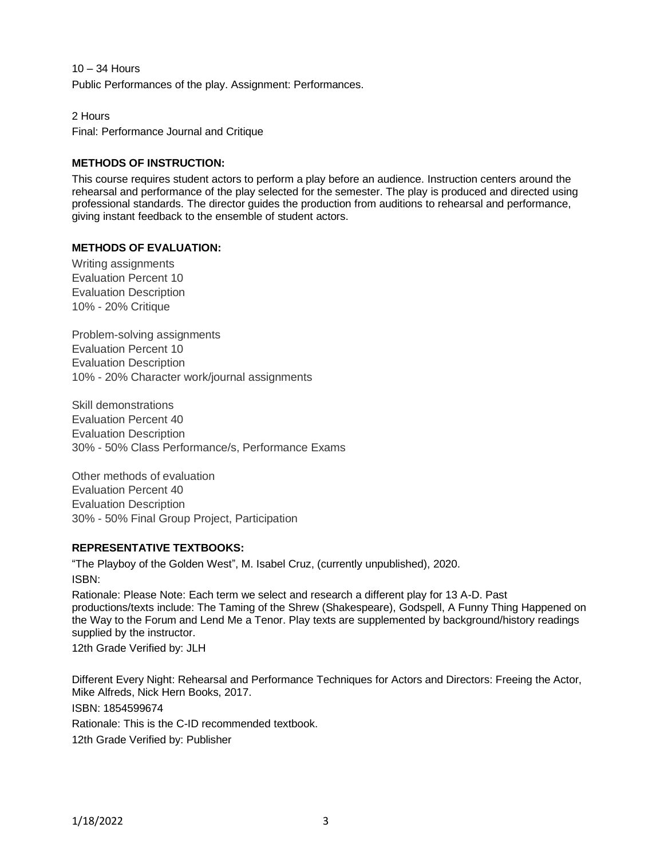10 – 34 Hours Public Performances of the play. Assignment: Performances.

2 Hours Final: Performance Journal and Critique

# **METHODS OF INSTRUCTION:**

This course requires student actors to perform a play before an audience. Instruction centers around the rehearsal and performance of the play selected for the semester. The play is produced and directed using professional standards. The director guides the production from auditions to rehearsal and performance, giving instant feedback to the ensemble of student actors.

# **METHODS OF EVALUATION:**

Writing assignments Evaluation Percent 10 Evaluation Description 10% - 20% Critique

Problem-solving assignments Evaluation Percent 10 Evaluation Description 10% - 20% Character work/journal assignments

Skill demonstrations Evaluation Percent 40 Evaluation Description 30% - 50% Class Performance/s, Performance Exams

Other methods of evaluation Evaluation Percent 40 Evaluation Description 30% - 50% Final Group Project, Participation

### **REPRESENTATIVE TEXTBOOKS:**

"The Playboy of the Golden West", M. Isabel Cruz, (currently unpublished), 2020. ISBN:

Rationale: Please Note: Each term we select and research a different play for 13 A-D. Past productions/texts include: The Taming of the Shrew (Shakespeare), Godspell, A Funny Thing Happened on the Way to the Forum and Lend Me a Tenor. Play texts are supplemented by background/history readings supplied by the instructor.

12th Grade Verified by: JLH

Different Every Night: Rehearsal and Performance Techniques for Actors and Directors: Freeing the Actor, Mike Alfreds, Nick Hern Books, 2017. ISBN: 1854599674 Rationale: This is the C-ID recommended textbook. 12th Grade Verified by: Publisher